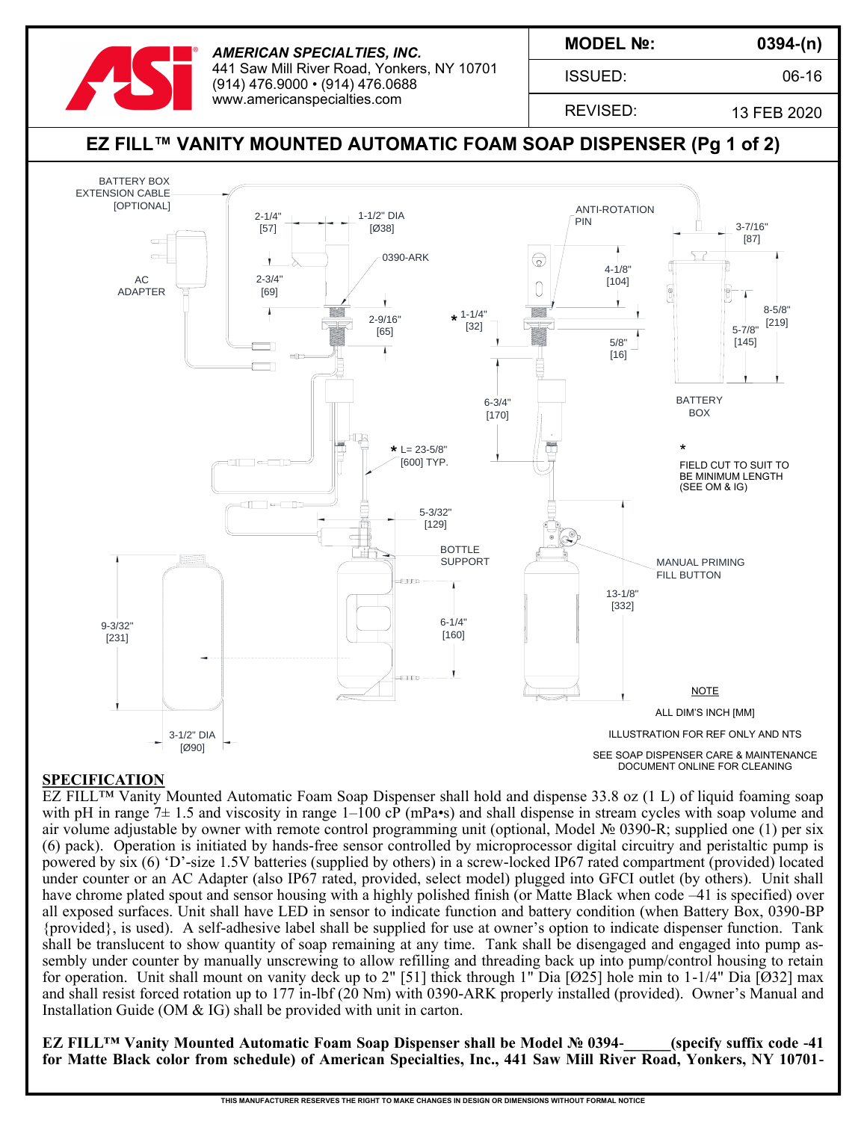

*AMERICAN SPECIALTIES, INC.* 441 Saw Mill River Road, Yonkers, NY 10701 (914) 476.9000 • (914) 476.0688 www.americanspecialties.com

**MODEL №:**

ISSUED:

**0394-(n)**

06-16

REVISED:

13 FEB 2020

#### **EZ FILL™ VANITY MOUNTED AUTOMATIC FOAM SOAP DISPENSER (Pg 1 of 2)** BATTERY BOX EXTENSION CABLE [OPTIONAL] ANTI-ROTATION 1-1/2" DIA **AND**  $\begin{array}{c|c|c|c|c} 2-1/4" & & & & 1-1/2" \ \hline & 57 & & & & \ \hline \end{array}$ 3-7/16" PIN [57] [87] 0390-ARK  $\bigotimes$ 4-1/8" 2-3/4" AC<br> **APTER** [104] O ADAPTER [69] 8-5/8"  $2-9/16"$   $\star$   $1-1/4"$   $\overline{\phantom{1}}$  $\frac{1}{5-7/8}$  [219] [32] [65] 5/8" [145] [16] BATTERY 6-3/4" [170] BOX **BOX**  $\star$  1 = 23-5/8" **\*** L= 23-5/8"  $\uparrow$   $\uparrow$   $\uparrow$   $\uparrow$   $\uparrow$   $\uparrow$   $\uparrow$   $\uparrow$   $\uparrow$   $\uparrow$   $\uparrow$   $\uparrow$ 厝 [600] TYP. 町 ▁▏▄▅▁▁▐▁ FIELD CUT TO SUIT TO BE MINIMUM LENGTH (SEE OM & IG) $\overline{\phantom{a}}$ ॼॻ 5-3/32" 屈  $\begin{array}{c}\n 129 \\
\text{BOTILE} \\
\text{SUPPORT} \\
\hline\n 1\n\end{array}$  $\subset$ **BOTTLE** 'n. SUPPORT <del>AND MANUAL PRIMING</del> FILL BUTTON  $\begin{bmatrix} 160 \\ 160 \end{bmatrix}$  13-1/8"<br>  $\begin{bmatrix} 160 \\ 160 \end{bmatrix}$  1332] [332] 9-3/32" [231] NOTE ALL DIM'S INCH [MM] 3-1/2" DIA ILLUSTRATION FOR REF ONLY AND NTS [Ø90] SEE SOAP DISPENSER CARE & MAINTENANCE DOCUMENT ONLINE FOR CLEANING

## **SPECIFICATION**

EZ FILL™ Vanity Mounted Automatic Foam Soap Dispenser shall hold and dispense 33.8 oz (1 L) of liquid foaming soap with pH in range  $7\pm 1.5$  and viscosity in range  $1-100$  cP (mPa•s) and shall dispense in stream cycles with soap volume and air volume adjustable by owner with remote control programming unit (optional, Model № 0390-R; supplied one (1) per six (6) pack). Operation is initiated by hands-free sensor controlled by microprocessor digital circuitry and peristaltic pump is powered by six (6) 'D'-size 1.5V batteries (supplied by others) in a screw-locked IP67 rated compartment (provided) located under counter or an AC Adapter (also IP67 rated, provided, select model) plugged into GFCI outlet (by others). Unit shall have chrome plated spout and sensor housing with a highly polished finish (or Matte Black when code –41 is specified) over all exposed surfaces. Unit shall have LED in sensor to indicate function and battery condition (when Battery Box, 0390-BP {provided}, is used). A self-adhesive label shall be supplied for use at owner's option to indicate dispenser function. Tank shall be translucent to show quantity of soap remaining at any time. Tank shall be disengaged and engaged into pump assembly under counter by manually unscrewing to allow refilling and threading back up into pump/control housing to retain for operation. Unit shall mount on vanity deck up to 2" [51] thick through 1" Dia [Ø25] hole min to 1-1/4" Dia [Ø32] max and shall resist forced rotation up to 177 in-lbf (20 Nm) with 0390-ARK properly installed (provided). Owner's Manual and Installation Guide (OM & IG) shall be provided with unit in carton.

**EZ FILL™ Vanity Mounted Automatic Foam Soap Dispenser shall be Model № 0394-\_\_\_\_\_\_(specify suffix code -41 for Matte Black color from schedule) of American Specialties, Inc., 441 Saw Mill River Road, Yonkers, NY 10701-**